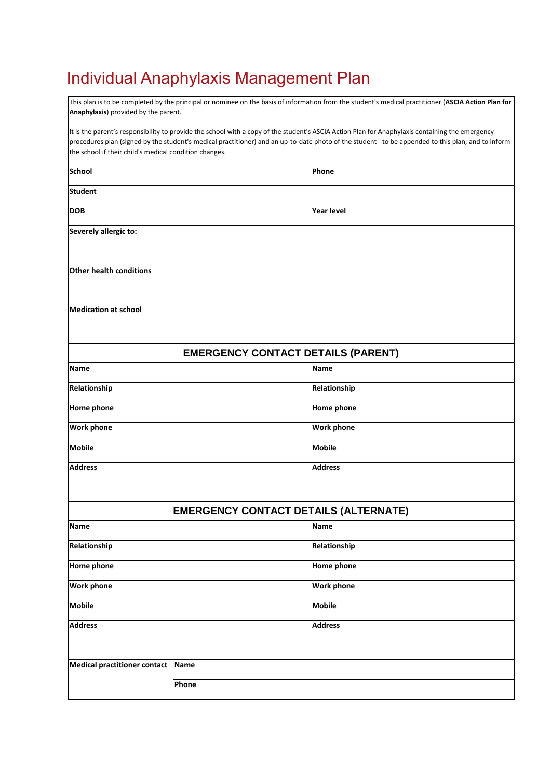## Individual Anaphylaxis Management Plan

This plan is to be completed by the principal or nominee on the basis of information from the student's medical practitioner (**ASCIA Action Plan for Anaphylaxis**) provided by the parent.

It is the parent's responsibility to provide the school with a copy of the student's ASCIA Action Plan for Anaphylaxis containing the emergency procedures plan (signed by the student's medical practitioner) and an up-to-date photo of the student - to be appended to this plan; and to inform the school if their child's medical condition changes.

| <b>School</b>                       |       |                                              | Phone             |  |
|-------------------------------------|-------|----------------------------------------------|-------------------|--|
| <b>Student</b>                      |       |                                              |                   |  |
| <b>DOB</b>                          |       |                                              | <b>Year level</b> |  |
| Severely allergic to:               |       |                                              |                   |  |
|                                     |       |                                              |                   |  |
| Other health conditions             |       |                                              |                   |  |
| <b>Medication at school</b>         |       |                                              |                   |  |
|                                     |       | <b>EMERGENCY CONTACT DETAILS (PARENT)</b>    |                   |  |
| <b>Name</b>                         |       |                                              | <b>Name</b>       |  |
| Relationship                        |       |                                              | Relationship      |  |
| Home phone                          |       |                                              | <b>Home phone</b> |  |
| <b>Work phone</b>                   |       |                                              | <b>Work phone</b> |  |
| <b>Mobile</b>                       |       |                                              | <b>Mobile</b>     |  |
| <b>Address</b>                      |       |                                              | <b>Address</b>    |  |
|                                     |       | <b>EMERGENCY CONTACT DETAILS (ALTERNATE)</b> |                   |  |
| <b>Name</b>                         |       |                                              | <b>Name</b>       |  |
| Relationship                        |       |                                              | Relationship      |  |
| Home phone                          |       |                                              | <b>Home phone</b> |  |
| <b>Work phone</b>                   |       |                                              | <b>Work phone</b> |  |
| <b>Mobile</b>                       |       |                                              | <b>Mobile</b>     |  |
| <b>Address</b>                      |       |                                              | <b>Address</b>    |  |
| <b>Medical practitioner contact</b> | Name  |                                              |                   |  |
|                                     | Phone |                                              |                   |  |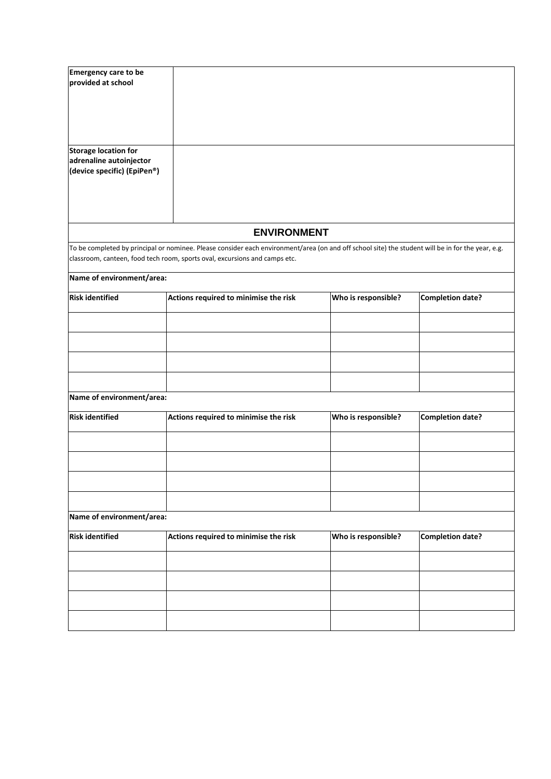| Emergency care to be<br>provided at school             |                                                                                                                                                                                                                                 |                     |                         |
|--------------------------------------------------------|---------------------------------------------------------------------------------------------------------------------------------------------------------------------------------------------------------------------------------|---------------------|-------------------------|
|                                                        |                                                                                                                                                                                                                                 |                     |                         |
|                                                        |                                                                                                                                                                                                                                 |                     |                         |
| <b>Storage location for</b><br>adrenaline autoinjector |                                                                                                                                                                                                                                 |                     |                         |
| (device specific) (EpiPen®)                            |                                                                                                                                                                                                                                 |                     |                         |
|                                                        |                                                                                                                                                                                                                                 |                     |                         |
|                                                        |                                                                                                                                                                                                                                 |                     |                         |
|                                                        | <b>ENVIRONMENT</b>                                                                                                                                                                                                              |                     |                         |
|                                                        | To be completed by principal or nominee. Please consider each environment/area (on and off school site) the student will be in for the year, e.g.<br>classroom, canteen, food tech room, sports oval, excursions and camps etc. |                     |                         |
| Name of environment/area:                              |                                                                                                                                                                                                                                 |                     |                         |
| <b>Risk identified</b>                                 | Actions required to minimise the risk                                                                                                                                                                                           | Who is responsible? | <b>Completion date?</b> |
|                                                        |                                                                                                                                                                                                                                 |                     |                         |
|                                                        |                                                                                                                                                                                                                                 |                     |                         |
|                                                        |                                                                                                                                                                                                                                 |                     |                         |
|                                                        |                                                                                                                                                                                                                                 |                     |                         |
| Name of environment/area:                              |                                                                                                                                                                                                                                 |                     |                         |
| <b>Risk identified</b>                                 | Actions required to minimise the risk                                                                                                                                                                                           | Who is responsible? | <b>Completion date?</b> |
|                                                        |                                                                                                                                                                                                                                 |                     |                         |
|                                                        |                                                                                                                                                                                                                                 |                     |                         |
|                                                        |                                                                                                                                                                                                                                 |                     |                         |
|                                                        |                                                                                                                                                                                                                                 |                     |                         |
| Name of environment/area:                              |                                                                                                                                                                                                                                 |                     |                         |
| <b>Risk identified</b>                                 | Actions required to minimise the risk                                                                                                                                                                                           | Who is responsible? | <b>Completion date?</b> |
|                                                        |                                                                                                                                                                                                                                 |                     |                         |
|                                                        |                                                                                                                                                                                                                                 |                     |                         |
|                                                        |                                                                                                                                                                                                                                 |                     |                         |
|                                                        |                                                                                                                                                                                                                                 |                     |                         |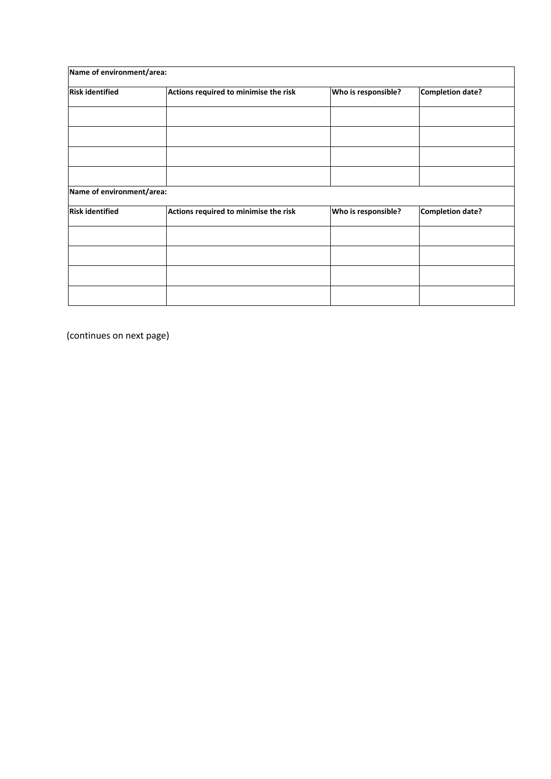| Name of environment/area: |                                       |                     |                         |  |
|---------------------------|---------------------------------------|---------------------|-------------------------|--|
| <b>Risk identified</b>    | Actions required to minimise the risk | Who is responsible? | <b>Completion date?</b> |  |
|                           |                                       |                     |                         |  |
|                           |                                       |                     |                         |  |
|                           |                                       |                     |                         |  |
|                           |                                       |                     |                         |  |
| Name of environment/area: |                                       |                     |                         |  |
| <b>Risk identified</b>    | Actions required to minimise the risk | Who is responsible? | <b>Completion date?</b> |  |
|                           |                                       |                     |                         |  |
|                           |                                       |                     |                         |  |
|                           |                                       |                     |                         |  |
|                           |                                       |                     |                         |  |

(continues on next page)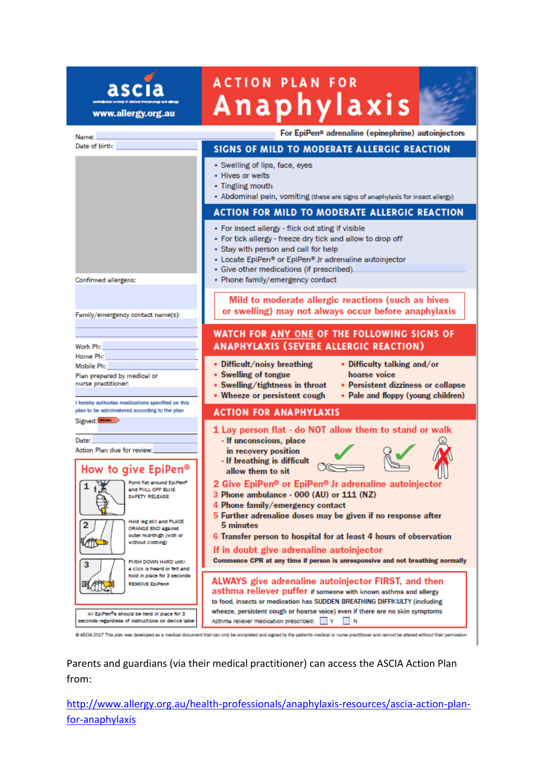## ascia www.allergy.org.au

## **ACTION PLAN FOR** Anaphylaxis



sinophrino) outoinio **Paul Putton**  $\sim$   $\sim$  $\mathbf{u}$ 

| Name:                                                                                                         | For epiren® aurenaline (epinephrine) automjectors                                                                                                                                                                                                                                                  |
|---------------------------------------------------------------------------------------------------------------|----------------------------------------------------------------------------------------------------------------------------------------------------------------------------------------------------------------------------------------------------------------------------------------------------|
| Date of birth:                                                                                                | SIGNS OF MILD TO MODERATE ALLERGIC REACTION                                                                                                                                                                                                                                                        |
|                                                                                                               | • Swelling of lips, face, eyes<br>• Hives or welts<br>• Tingling mouth<br>• Abdominal pain, vomiting (these are signs of anaphylaxis for insect allergy)                                                                                                                                           |
|                                                                                                               | <b>ACTION FOR MILD TO MODERATE ALLERGIC REACTION</b>                                                                                                                                                                                                                                               |
| Confirmed allergens:                                                                                          | • For insect allergy - flick out sting if visible<br>• For tick allergy - freeze dry tick and allow to drop off<br>• Stay with person and call for help<br>• Locate EpiPen® or EpiPen® Jr adrenaline autoinjector<br>• Give other medications (if prescribed).<br>• Phone family/emergency contact |
| Family/emergency contact name(s):                                                                             | Mild to moderate allergic reactions (such as hives<br>or swelling) may not always occur before anaphylaxis                                                                                                                                                                                         |
|                                                                                                               | WATCH FOR ANY ONE OF THE FOLLOWING SIGNS OF                                                                                                                                                                                                                                                        |
| Work Ph:                                                                                                      | <b>ANAPHYLAXIS (SEVERE ALLERGIC REACTION)</b>                                                                                                                                                                                                                                                      |
| Home Ph:<br>Mobile Ph:                                                                                        | • Difficult/noisy breathing<br>• Difficulty talking and/or                                                                                                                                                                                                                                         |
| Plan prepared by medical or                                                                                   | • Swelling of tongue<br>hoarse voice                                                                                                                                                                                                                                                               |
| nurse practitioner:                                                                                           | • Swelling/tightness in throat<br>• Persistent dizziness or collapse<br>• Wheeze or persistent cough<br>• Pale and floppy (young children)                                                                                                                                                         |
| I hereby authorise medications specified on this<br>plan to be administered according to the plan             | <b>ACTION FOR ANAPHYLAXIS</b>                                                                                                                                                                                                                                                                      |
| Signed: <b>MARK</b>                                                                                           |                                                                                                                                                                                                                                                                                                    |
|                                                                                                               | 1 Lay person flat - do NOT allow them to stand or walk                                                                                                                                                                                                                                             |
| Date:<br>Action Plan due for review:<br>How to give EpiPen®                                                   | - If unconscious, place<br>in recovery position<br>- If breathing is difficult<br>allow them to sit                                                                                                                                                                                                |
| Form fiet around EpiPen®<br>1<br>and PULL OFF BLUE<br><b>SAFETY RELEASE</b>                                   | 2 Give EpiPen® or EpiPen® Jr adrenaline autoinjector<br>3 Phone ambulance - 000 (AU) or 111 (NZ)<br>4 Phone family/emergency contact                                                                                                                                                               |
| Hold leg atill and PLACE<br>2<br><b>ORANGE END against</b><br>outer mid-thigh (with or<br>without clothing)   | 5 Further adrenaline doses may be given if no response after<br>5 minutes<br>6 Transfer person to hospital for at least 4 hours of observation                                                                                                                                                     |
| PUSH DOWN HARD until<br>3<br>a click is heard or felt and                                                     | If in doubt give adrenaline autoinjector<br>Commence CPR at any time if person is unresponsive and not breathing normally                                                                                                                                                                          |
| hold in place for 3 seconds<br>REMOVE EpiPen#                                                                 | <b>ALWAYS</b> give adrenaline autoinjector FIRST, and then<br>asthma reliever puffer if someone with known asthma and allergy<br>to food, insects or medication has SUDDEN BREATHING DIFFICULTY (including                                                                                         |
| All EpiPen <sup>®</sup> e should be held in place for 3<br>ecconde regardiese of instructions on device label | wheeze, persistent cough or hoarse voice) even if there are no skin symptoms<br>Asthma reliever medication prescribed: Y N                                                                                                                                                                         |

@ ASCIA 2017 This plan was developed as a medical document that can only be completed and signed by the patient's medical or nurse practitioner and cannot be altered without their permission

Parents and guardians (via their medical practitioner) can access the ASCIA Action Plan from:

[http://www.allergy.org.au/health-professionals/anaphylaxis-resources/ascia-action-plan](http://www.allergy.org.au/health-professionals/anaphylaxis-resources/ascia-action-plan-for-anaphylaxis)[for-anaphylaxis](http://www.allergy.org.au/health-professionals/anaphylaxis-resources/ascia-action-plan-for-anaphylaxis)